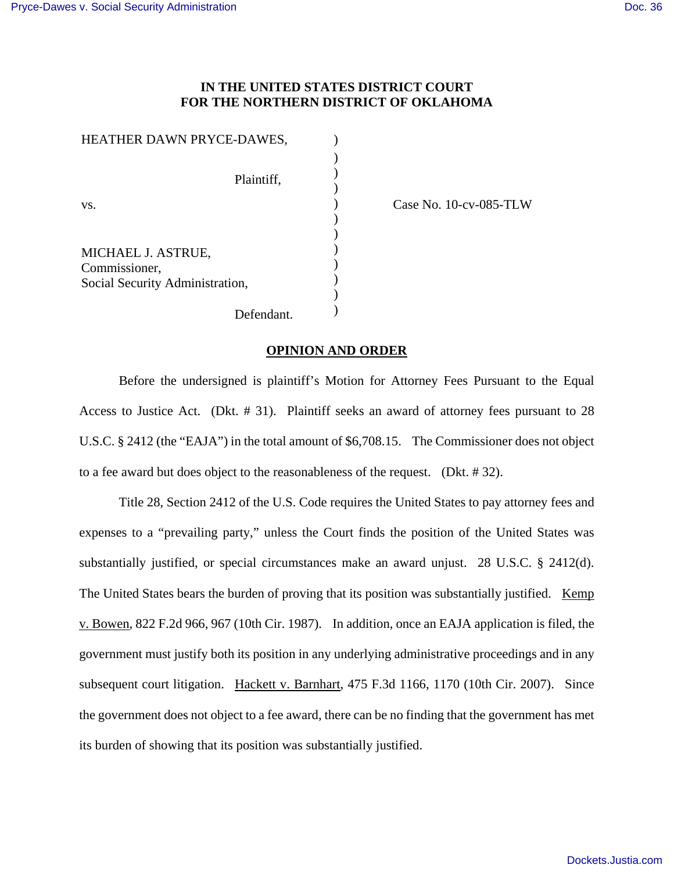## **IN THE UNITED STATES DISTRICT COURT FOR THE NORTHERN DISTRICT OF OKLAHOMA**

| HEATHER DAWN PRYCE-DAWES,       |  |
|---------------------------------|--|
|                                 |  |
| Plaintiff,                      |  |
| VS.                             |  |
|                                 |  |
|                                 |  |
| MICHAEL J. ASTRUE,              |  |
| Commissioner,                   |  |
| Social Security Administration, |  |
|                                 |  |
| Defendant.                      |  |

Case No. 10-cv-085-TLW

## **OPINION AND ORDER**

Before the undersigned is plaintiff's Motion for Attorney Fees Pursuant to the Equal Access to Justice Act. (Dkt. # 31). Plaintiff seeks an award of attorney fees pursuant to 28 U.S.C. § 2412 (the "EAJA") in the total amount of \$6,708.15. The Commissioner does not object to a fee award but does object to the reasonableness of the request. (Dkt. # 32).

Title 28, Section 2412 of the U.S. Code requires the United States to pay attorney fees and expenses to a "prevailing party," unless the Court finds the position of the United States was substantially justified, or special circumstances make an award unjust. 28 U.S.C. § 2412(d). The United States bears the burden of proving that its position was substantially justified. Kemp v. Bowen, 822 F.2d 966, 967 (10th Cir. 1987). In addition, once an EAJA application is filed, the government must justify both its position in any underlying administrative proceedings and in any subsequent court litigation. Hackett v. Barnhart, 475 F.3d 1166, 1170 (10th Cir. 2007). Since the government does not object to a fee award, there can be no finding that the government has met its burden of showing that its position was substantially justified.